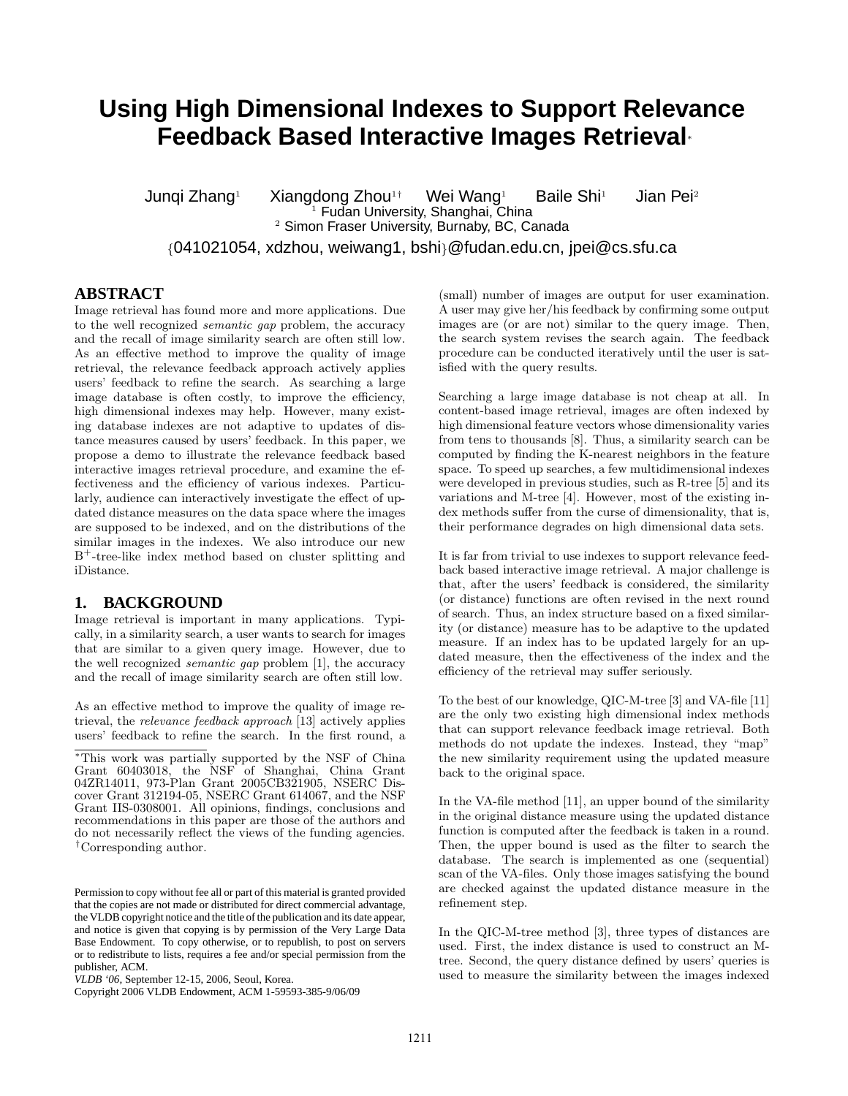# **Using High Dimensional Indexes to Support Relevance Feedback Based Interactive Images Retrieval**<sup>∗</sup>

Junqi Zhang<sup>1</sup> Xiangdong Zhou<sup>1†</sup> Wei Wang<sup>1</sup> Baile Shi<sup>1</sup> Jian Pei<sup>2</sup><br>Jimular Sudan University, Shanghai, China  $2$  Simon Fraser University, Burnaby, BC, Canada

{041021054, xdzhou, weiwang1, bshi}@fudan.edu.cn, jpei@cs.sfu.ca

#### **ABSTRACT**

Image retrieval has found more and more applications. Due to the well recognized semantic gap problem, the accuracy and the recall of image similarity search are often still low. As an effective method to improve the quality of image retrieval, the relevance feedback approach actively applies users' feedback to refine the search. As searching a large image database is often costly, to improve the efficiency, high dimensional indexes may help. However, many existing database indexes are not adaptive to updates of distance measures caused by users' feedback. In this paper, we propose a demo to illustrate the relevance feedback based interactive images retrieval procedure, and examine the effectiveness and the efficiency of various indexes. Particularly, audience can interactively investigate the effect of updated distance measures on the data space where the images are supposed to be indexed, and on the distributions of the similar images in the indexes. We also introduce our new B<sup>+</sup>-tree-like index method based on cluster splitting and iDistance.

#### **1. BACKGROUND**

Image retrieval is important in many applications. Typically, in a similarity search, a user wants to search for images that are similar to a given query image. However, due to the well recognized semantic gap problem [1], the accuracy and the recall of image similarity search are often still low.

As an effective method to improve the quality of image retrieval, the relevance feedback approach [13] actively applies users' feedback to refine the search. In the first round, a

(small) number of images are output for user examination. A user may give her/his feedback by confirming some output images are (or are not) similar to the query image. Then, the search system revises the search again. The feedback procedure can be conducted iteratively until the user is satisfied with the query results.

Searching a large image database is not cheap at all. In content-based image retrieval, images are often indexed by high dimensional feature vectors whose dimensionality varies from tens to thousands [8]. Thus, a similarity search can be computed by finding the K-nearest neighbors in the feature space. To speed up searches, a few multidimensional indexes were developed in previous studies, such as R-tree [5] and its variations and M-tree [4]. However, most of the existing index methods suffer from the curse of dimensionality, that is, their performance degrades on high dimensional data sets.

It is far from trivial to use indexes to support relevance feedback based interactive image retrieval. A major challenge is that, after the users' feedback is considered, the similarity (or distance) functions are often revised in the next round of search. Thus, an index structure based on a fixed similarity (or distance) measure has to be adaptive to the updated measure. If an index has to be updated largely for an updated measure, then the effectiveness of the index and the efficiency of the retrieval may suffer seriously.

To the best of our knowledge, QIC-M-tree [3] and VA-file [11] are the only two existing high dimensional index methods that can support relevance feedback image retrieval. Both methods do not update the indexes. Instead, they "map" the new similarity requirement using the updated measure back to the original space.

In the VA-file method [11], an upper bound of the similarity in the original distance measure using the updated distance function is computed after the feedback is taken in a round. Then, the upper bound is used as the filter to search the database. The search is implemented as one (sequential) scan of the VA-files. Only those images satisfying the bound are checked against the updated distance measure in the refinement step.

In the QIC-M-tree method [3], three types of distances are used. First, the index distance is used to construct an Mtree. Second, the query distance defined by users' queries is used to measure the similarity between the images indexed

<sup>∗</sup>This work was partially supported by the NSF of China Grant 60403018, the NSF of Shanghai, China Grant 04ZR14011, 973-Plan Grant 2005CB321905, NSERC Discover Grant 312194-05, NSERC Grant 614067, and the NSF Grant IIS-0308001. All opinions, findings, conclusions and recommendations in this paper are those of the authors and do not necessarily reflect the views of the funding agencies. †Corresponding author.

Permission to copy without fee all or part of this material is granted provided that the copies are not made or distributed for direct commercial advantage, the VLDB copyright notice and the title of the publication and its date appear, and notice is given that copying is by permission of the Very Large Data Base Endowment. To copy otherwise, or to republish, to post on servers or to redistribute to lists, requires a fee and/or special permission from the publisher, ACM.

*VLDB '06,* September 12-15, 2006, Seoul, Korea.

Copyright 2006 VLDB Endowment, ACM 1-59593-385-9/06/09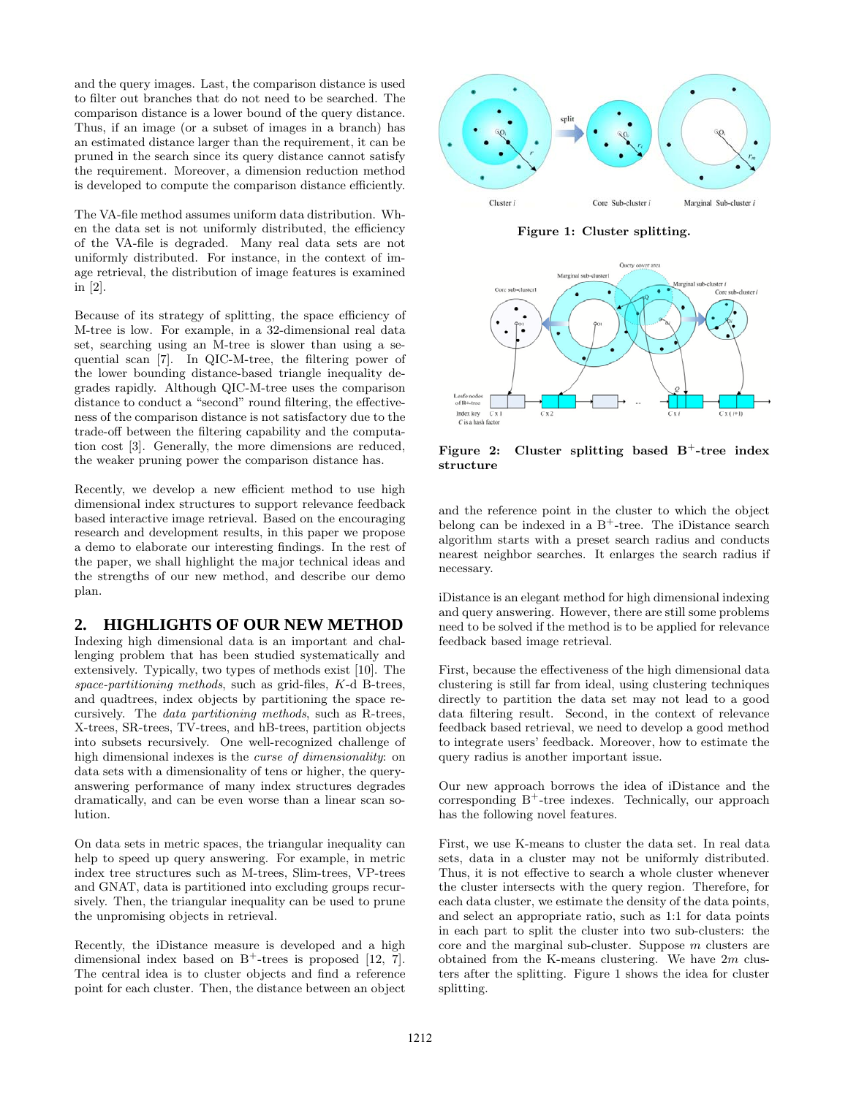and the query images. Last, the comparison distance is used to filter out branches that do not need to be searched. The comparison distance is a lower bound of the query distance. Thus, if an image (or a subset of images in a branch) has an estimated distance larger than the requirement, it can be pruned in the search since its query distance cannot satisfy the requirement. Moreover, a dimension reduction method is developed to compute the comparison distance efficiently.

The VA-file method assumes uniform data distribution. When the data set is not uniformly distributed, the efficiency of the VA-file is degraded. Many real data sets are not uniformly distributed. For instance, in the context of image retrieval, the distribution of image features is examined in [2].

Because of its strategy of splitting, the space efficiency of M-tree is low. For example, in a 32-dimensional real data set, searching using an M-tree is slower than using a sequential scan [7]. In QIC-M-tree, the filtering power of the lower bounding distance-based triangle inequality degrades rapidly. Although QIC-M-tree uses the comparison distance to conduct a "second" round filtering, the effectiveness of the comparison distance is not satisfactory due to the trade-off between the filtering capability and the computation cost [3]. Generally, the more dimensions are reduced, the weaker pruning power the comparison distance has.

Recently, we develop a new efficient method to use high dimensional index structures to support relevance feedback based interactive image retrieval. Based on the encouraging research and development results, in this paper we propose a demo to elaborate our interesting findings. In the rest of the paper, we shall highlight the major technical ideas and the strengths of our new method, and describe our demo plan.

## **2. HIGHLIGHTS OF OUR NEW METHOD**

Indexing high dimensional data is an important and challenging problem that has been studied systematically and extensively. Typically, two types of methods exist [10]. The space-partitioning methods, such as grid-files, K-d B-trees, and quadtrees, index objects by partitioning the space recursively. The data partitioning methods, such as R-trees, X-trees, SR-trees, TV-trees, and hB-trees, partition objects into subsets recursively. One well-recognized challenge of high dimensional indexes is the *curse of dimensionality*: on data sets with a dimensionality of tens or higher, the queryanswering performance of many index structures degrades dramatically, and can be even worse than a linear scan solution.

On data sets in metric spaces, the triangular inequality can help to speed up query answering. For example, in metric index tree structures such as M-trees, Slim-trees, VP-trees and GNAT, data is partitioned into excluding groups recursively. Then, the triangular inequality can be used to prune the unpromising objects in retrieval.

Recently, the iDistance measure is developed and a high dimensional index based on  $B^+$ -trees is proposed [12, 7]. The central idea is to cluster objects and find a reference point for each cluster. Then, the distance between an object



**Figure 1: Cluster splitting.**



**Figure 2: Cluster splitting based B**<sup>+</sup>**-tree index structure**

and the reference point in the cluster to which the object belong can be indexed in a  $B^+$ -tree. The iDistance search algorithm starts with a preset search radius and conducts nearest neighbor searches. It enlarges the search radius if necessary.

iDistance is an elegant method for high dimensional indexing and query answering. However, there are still some problems need to be solved if the method is to be applied for relevance feedback based image retrieval.

First, because the effectiveness of the high dimensional data clustering is still far from ideal, using clustering techniques directly to partition the data set may not lead to a good data filtering result. Second, in the context of relevance feedback based retrieval, we need to develop a good method to integrate users' feedback. Moreover, how to estimate the query radius is another important issue.

Our new approach borrows the idea of iDistance and the corresponding  $B^+$ -tree indexes. Technically, our approach has the following novel features.

First, we use K-means to cluster the data set. In real data sets, data in a cluster may not be uniformly distributed. Thus, it is not effective to search a whole cluster whenever the cluster intersects with the query region. Therefore, for each data cluster, we estimate the density of the data points, and select an appropriate ratio, such as 1:1 for data points in each part to split the cluster into two sub-clusters: the core and the marginal sub-cluster. Suppose m clusters are obtained from the K-means clustering. We have  $2m$  clusters after the splitting. Figure 1 shows the idea for cluster splitting.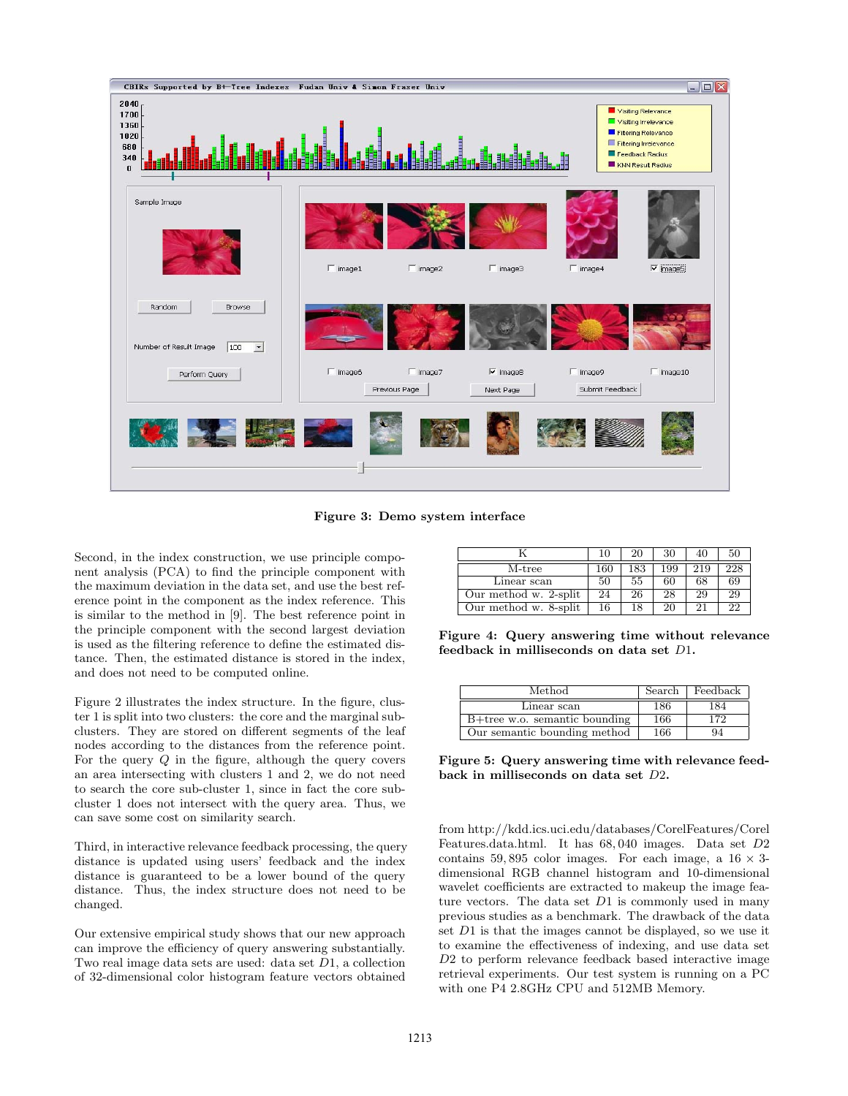

**Figure 3: Demo system interface**

Second, in the index construction, we use principle component analysis (PCA) to find the principle component with the maximum deviation in the data set, and use the best reference point in the component as the index reference. This is similar to the method in [9]. The best reference point in the principle component with the second largest deviation is used as the filtering reference to define the estimated distance. Then, the estimated distance is stored in the index, and does not need to be computed online.

Figure 2 illustrates the index structure. In the figure, cluster 1 is split into two clusters: the core and the marginal subclusters. They are stored on different segments of the leaf nodes according to the distances from the reference point. For the query  $Q$  in the figure, although the query covers an area intersecting with clusters 1 and 2, we do not need to search the core sub-cluster 1, since in fact the core subcluster 1 does not intersect with the query area. Thus, we can save some cost on similarity search.

Third, in interactive relevance feedback processing, the query distance is updated using users' feedback and the index distance is guaranteed to be a lower bound of the query distance. Thus, the index structure does not need to be changed.

Our extensive empirical study shows that our new approach can improve the efficiency of query answering substantially. Two real image data sets are used: data set D1, a collection of 32-dimensional color histogram feature vectors obtained

|                       | 10  | 20  | 30  | 40  | 50  |
|-----------------------|-----|-----|-----|-----|-----|
| M-tree                | 160 | 183 | 199 | 219 | 228 |
| Linear scan           | 50  | 55  | 60  | 68  | 69  |
| Our method w. 2-split | 24  | 26  | 28  | 29  | 29  |
| Our method w. 8-split | 16  | 18  | 20  | 21  | 22  |

**Figure 4: Query answering time without relevance feedback in milliseconds on data set** D1**.**

| Method                           | Search | Feedback |  |
|----------------------------------|--------|----------|--|
| Linear scan                      | 186    | 184      |  |
| $B+$ tree w.o. semantic bounding | 166    | 172      |  |
| Our semantic bounding method     | 166    | 94       |  |

**Figure 5: Query answering time with relevance feedback in milliseconds on data set** D2**.**

from http://kdd.ics.uci.edu/databases/CorelFeatures/Corel Features.data.html. It has 68, 040 images. Data set D2 contains 59,895 color images. For each image, a  $16 \times 3$ dimensional RGB channel histogram and 10-dimensional wavelet coefficients are extracted to makeup the image feature vectors. The data set  $D1$  is commonly used in many previous studies as a benchmark. The drawback of the data set D1 is that the images cannot be displayed, so we use it to examine the effectiveness of indexing, and use data set D2 to perform relevance feedback based interactive image retrieval experiments. Our test system is running on a PC with one P4 2.8GHz CPU and 512MB Memory.